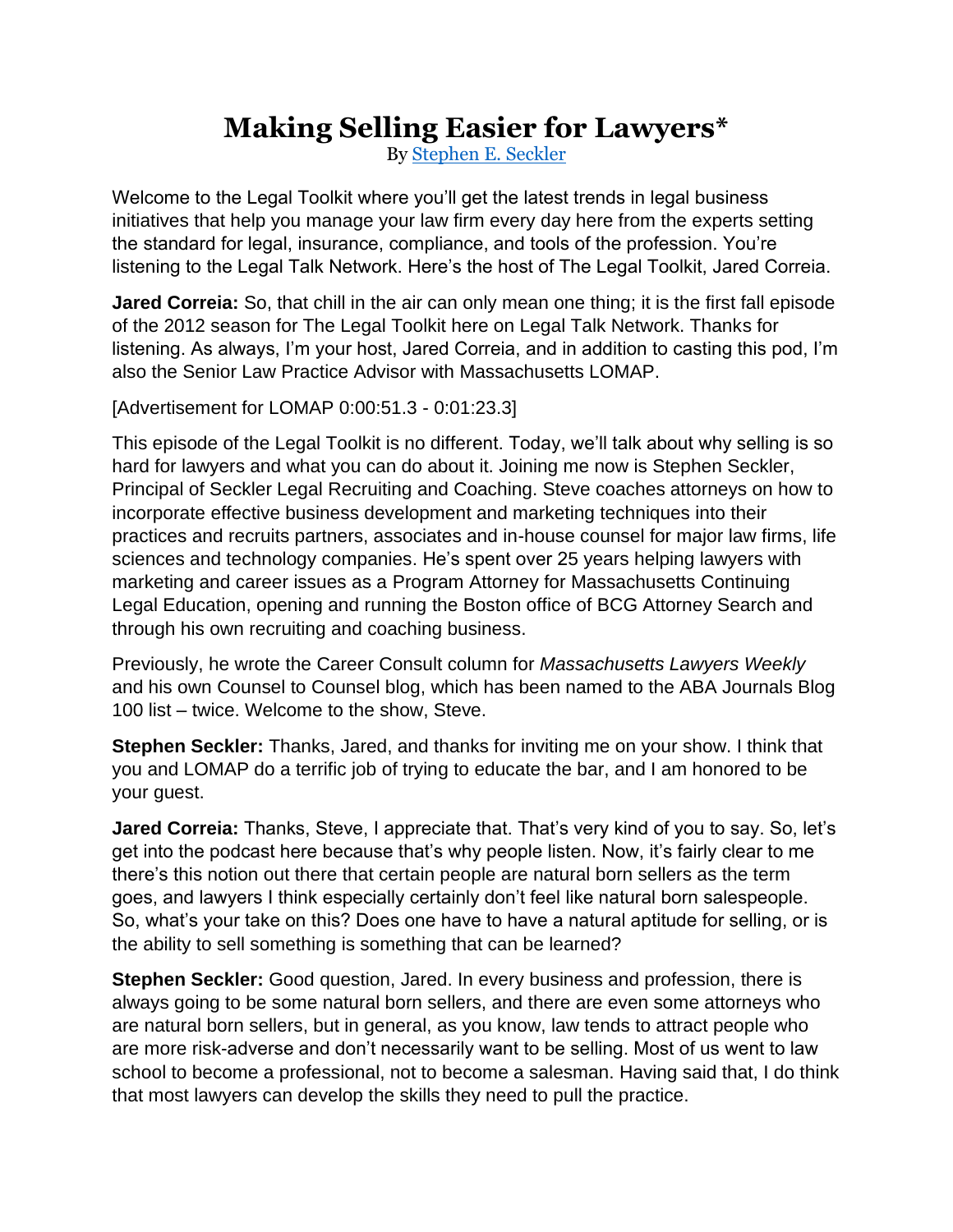## **Making Selling Easier for Lawyers\***

By [Stephen E. Seckler](http://www.seckler.com/about/)

Welcome to the Legal Toolkit where you'll get the latest trends in legal business initiatives that help you manage your law firm every day here from the experts setting the standard for legal, insurance, compliance, and tools of the profession. You're listening to the Legal Talk Network. Here's the host of The Legal Toolkit, Jared Correia.

**Jared Correia:** So, that chill in the air can only mean one thing; it is the first fall episode of the 2012 season for The Legal Toolkit here on Legal Talk Network. Thanks for listening. As always, I'm your host, Jared Correia, and in addition to casting this pod, I'm also the Senior Law Practice Advisor with Massachusetts LOMAP.

[Advertisement for LOMAP 0:00:51.3 - 0:01:23.3]

This episode of the Legal Toolkit is no different. Today, we'll talk about why selling is so hard for lawyers and what you can do about it. Joining me now is Stephen Seckler, Principal of Seckler Legal Recruiting and Coaching. Steve coaches attorneys on how to incorporate effective business development and marketing techniques into their practices and recruits partners, associates and in-house counsel for major law firms, life sciences and technology companies. He's spent over 25 years helping lawyers with marketing and career issues as a Program Attorney for Massachusetts Continuing Legal Education, opening and running the Boston office of BCG Attorney Search and through his own recruiting and coaching business.

Previously, he wrote the Career Consult column for *Massachusetts Lawyers Weekly* and his own Counsel to Counsel blog, which has been named to the ABA Journals Blog 100 list – twice. Welcome to the show, Steve.

**Stephen Seckler:** Thanks, Jared, and thanks for inviting me on your show. I think that you and LOMAP do a terrific job of trying to educate the bar, and I am honored to be your guest.

**Jared Correia:** Thanks, Steve, I appreciate that. That's very kind of you to say. So, let's get into the podcast here because that's why people listen. Now, it's fairly clear to me there's this notion out there that certain people are natural born sellers as the term goes, and lawyers I think especially certainly don't feel like natural born salespeople. So, what's your take on this? Does one have to have a natural aptitude for selling, or is the ability to sell something is something that can be learned?

**Stephen Seckler:** Good question, Jared. In every business and profession, there is always going to be some natural born sellers, and there are even some attorneys who are natural born sellers, but in general, as you know, law tends to attract people who are more risk-adverse and don't necessarily want to be selling. Most of us went to law school to become a professional, not to become a salesman. Having said that, I do think that most lawyers can develop the skills they need to pull the practice.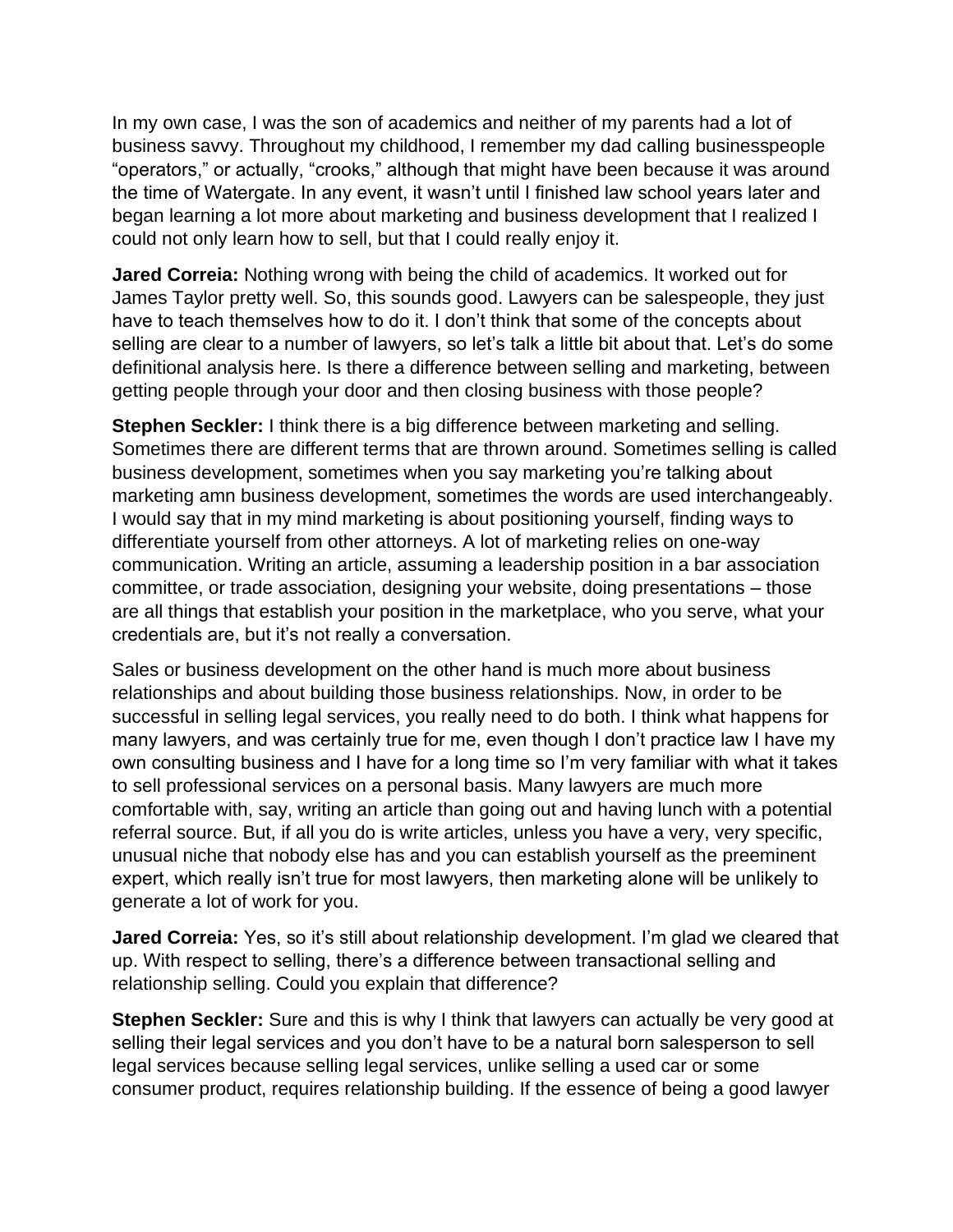In my own case, I was the son of academics and neither of my parents had a lot of business savvy. Throughout my childhood, I remember my dad calling businesspeople "operators," or actually, "crooks," although that might have been because it was around the time of Watergate. In any event, it wasn't until I finished law school years later and began learning a lot more about marketing and business development that I realized I could not only learn how to sell, but that I could really enjoy it.

**Jared Correia:** Nothing wrong with being the child of academics. It worked out for James Taylor pretty well. So, this sounds good. Lawyers can be salespeople, they just have to teach themselves how to do it. I don't think that some of the concepts about selling are clear to a number of lawyers, so let's talk a little bit about that. Let's do some definitional analysis here. Is there a difference between selling and marketing, between getting people through your door and then closing business with those people?

**Stephen Seckler:** I think there is a big difference between marketing and selling. Sometimes there are different terms that are thrown around. Sometimes selling is called business development, sometimes when you say marketing you're talking about marketing amn business development, sometimes the words are used interchangeably. I would say that in my mind marketing is about positioning yourself, finding ways to differentiate yourself from other attorneys. A lot of marketing relies on one-way communication. Writing an article, assuming a leadership position in a bar association committee, or trade association, designing your website, doing presentations – those are all things that establish your position in the marketplace, who you serve, what your credentials are, but it's not really a conversation.

Sales or business development on the other hand is much more about business relationships and about building those business relationships. Now, in order to be successful in selling legal services, you really need to do both. I think what happens for many lawyers, and was certainly true for me, even though I don't practice law I have my own consulting business and I have for a long time so I'm very familiar with what it takes to sell professional services on a personal basis. Many lawyers are much more comfortable with, say, writing an article than going out and having lunch with a potential referral source. But, if all you do is write articles, unless you have a very, very specific, unusual niche that nobody else has and you can establish yourself as the preeminent expert, which really isn't true for most lawyers, then marketing alone will be unlikely to generate a lot of work for you.

**Jared Correia:** Yes, so it's still about relationship development. I'm glad we cleared that up. With respect to selling, there's a difference between transactional selling and relationship selling. Could you explain that difference?

**Stephen Seckler:** Sure and this is why I think that lawyers can actually be very good at selling their legal services and you don't have to be a natural born salesperson to sell legal services because selling legal services, unlike selling a used car or some consumer product, requires relationship building. If the essence of being a good lawyer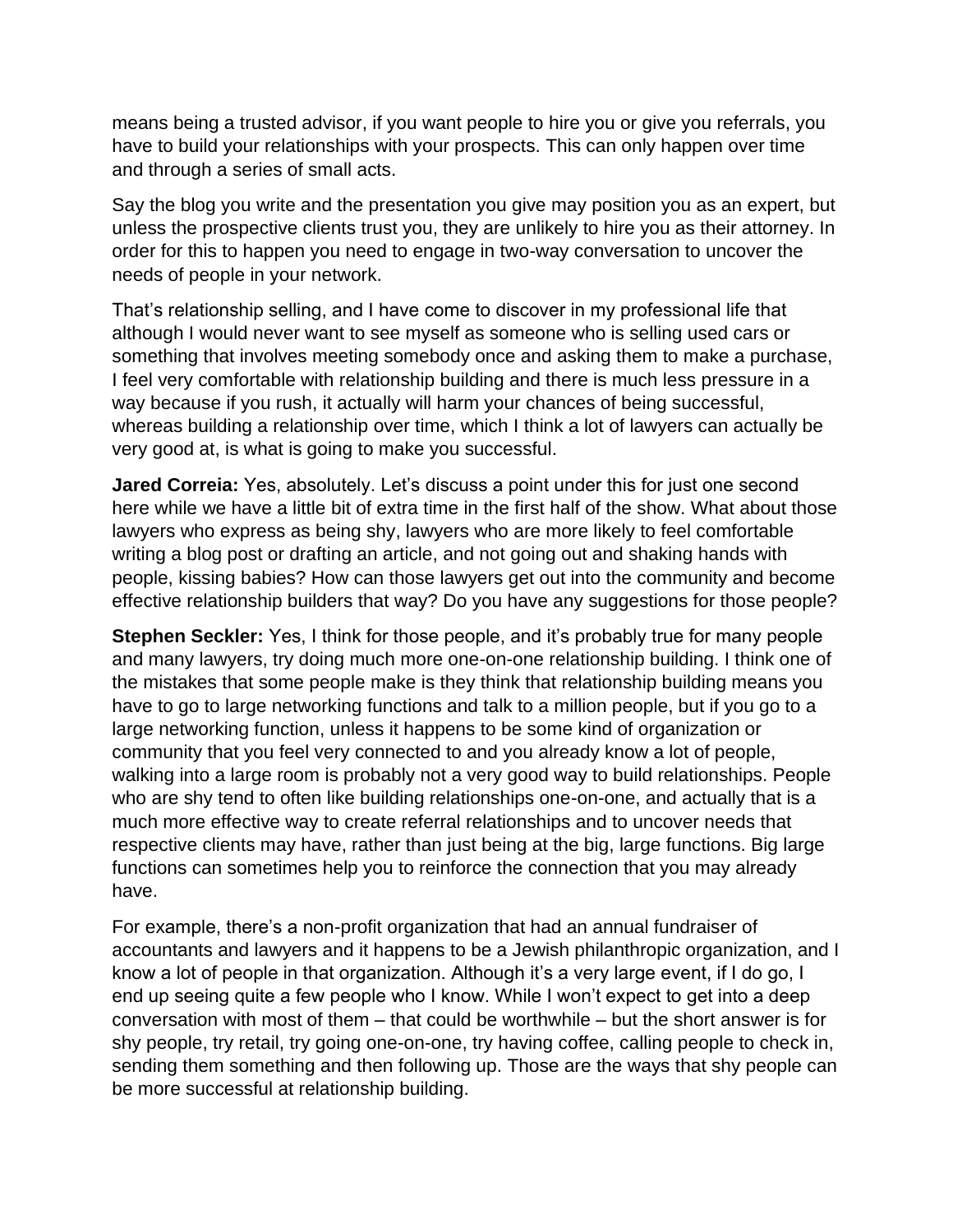means being a trusted advisor, if you want people to hire you or give you referrals, you have to build your relationships with your prospects. This can only happen over time and through a series of small acts.

Say the blog you write and the presentation you give may position you as an expert, but unless the prospective clients trust you, they are unlikely to hire you as their attorney. In order for this to happen you need to engage in two-way conversation to uncover the needs of people in your network.

That's relationship selling, and I have come to discover in my professional life that although I would never want to see myself as someone who is selling used cars or something that involves meeting somebody once and asking them to make a purchase, I feel very comfortable with relationship building and there is much less pressure in a way because if you rush, it actually will harm your chances of being successful, whereas building a relationship over time, which I think a lot of lawyers can actually be very good at, is what is going to make you successful.

**Jared Correia:** Yes, absolutely. Let's discuss a point under this for just one second here while we have a little bit of extra time in the first half of the show. What about those lawyers who express as being shy, lawyers who are more likely to feel comfortable writing a blog post or drafting an article, and not going out and shaking hands with people, kissing babies? How can those lawyers get out into the community and become effective relationship builders that way? Do you have any suggestions for those people?

**Stephen Seckler:** Yes, I think for those people, and it's probably true for many people and many lawyers, try doing much more one-on-one relationship building. I think one of the mistakes that some people make is they think that relationship building means you have to go to large networking functions and talk to a million people, but if you go to a large networking function, unless it happens to be some kind of organization or community that you feel very connected to and you already know a lot of people, walking into a large room is probably not a very good way to build relationships. People who are shy tend to often like building relationships one-on-one, and actually that is a much more effective way to create referral relationships and to uncover needs that respective clients may have, rather than just being at the big, large functions. Big large functions can sometimes help you to reinforce the connection that you may already have.

For example, there's a non-profit organization that had an annual fundraiser of accountants and lawyers and it happens to be a Jewish philanthropic organization, and I know a lot of people in that organization. Although it's a very large event, if I do go, I end up seeing quite a few people who I know. While I won't expect to get into a deep conversation with most of them – that could be worthwhile – but the short answer is for shy people, try retail, try going one-on-one, try having coffee, calling people to check in, sending them something and then following up. Those are the ways that shy people can be more successful at relationship building.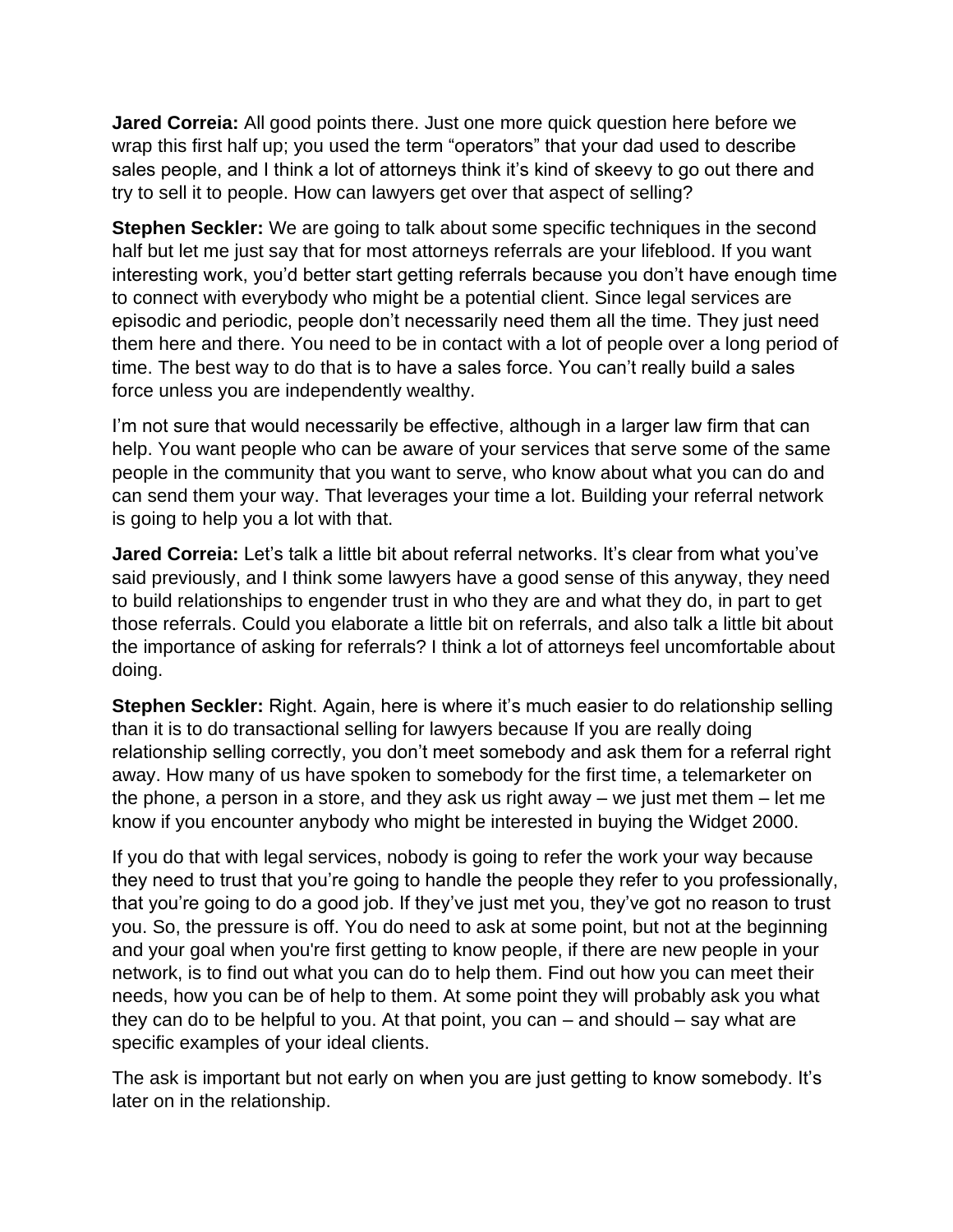**Jared Correia:** All good points there. Just one more quick question here before we wrap this first half up; you used the term "operators" that your dad used to describe sales people, and I think a lot of attorneys think it's kind of skeevy to go out there and try to sell it to people. How can lawyers get over that aspect of selling?

**Stephen Seckler:** We are going to talk about some specific techniques in the second half but let me just say that for most attorneys referrals are your lifeblood. If you want interesting work, you'd better start getting referrals because you don't have enough time to connect with everybody who might be a potential client. Since legal services are episodic and periodic, people don't necessarily need them all the time. They just need them here and there. You need to be in contact with a lot of people over a long period of time. The best way to do that is to have a sales force. You can't really build a sales force unless you are independently wealthy.

I'm not sure that would necessarily be effective, although in a larger law firm that can help. You want people who can be aware of your services that serve some of the same people in the community that you want to serve, who know about what you can do and can send them your way. That leverages your time a lot. Building your referral network is going to help you a lot with that.

**Jared Correia:** Let's talk a little bit about referral networks. It's clear from what you've said previously, and I think some lawyers have a good sense of this anyway, they need to build relationships to engender trust in who they are and what they do, in part to get those referrals. Could you elaborate a little bit on referrals, and also talk a little bit about the importance of asking for referrals? I think a lot of attorneys feel uncomfortable about doing.

**Stephen Seckler:** Right. Again, here is where it's much easier to do relationship selling than it is to do transactional selling for lawyers because If you are really doing relationship selling correctly, you don't meet somebody and ask them for a referral right away. How many of us have spoken to somebody for the first time, a telemarketer on the phone, a person in a store, and they ask us right away – we just met them – let me know if you encounter anybody who might be interested in buying the Widget 2000.

If you do that with legal services, nobody is going to refer the work your way because they need to trust that you're going to handle the people they refer to you professionally, that you're going to do a good job. If they've just met you, they've got no reason to trust you. So, the pressure is off. You do need to ask at some point, but not at the beginning and your goal when you're first getting to know people, if there are new people in your network, is to find out what you can do to help them. Find out how you can meet their needs, how you can be of help to them. At some point they will probably ask you what they can do to be helpful to you. At that point, you can – and should – say what are specific examples of your ideal clients.

The ask is important but not early on when you are just getting to know somebody. It's later on in the relationship.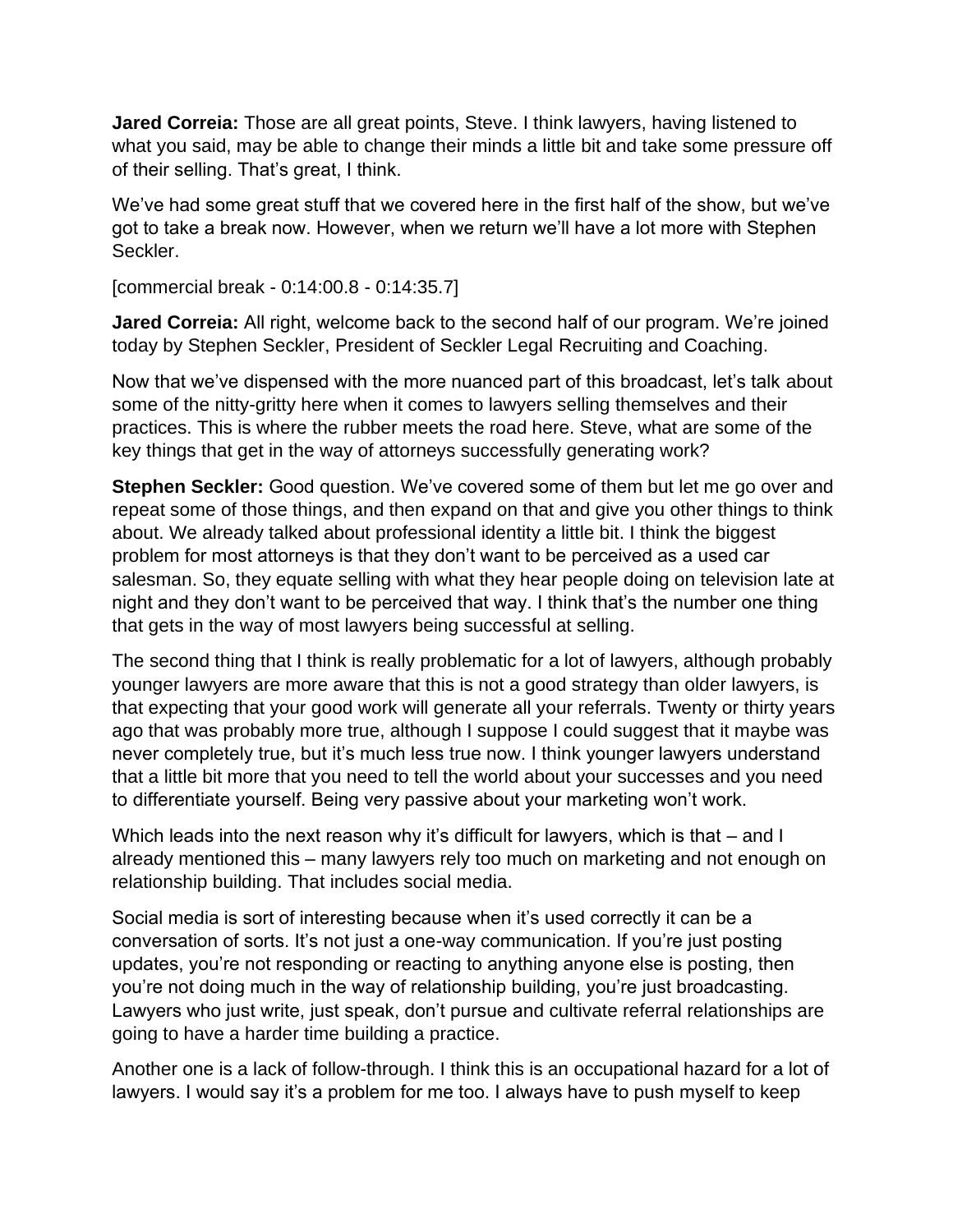**Jared Correia:** Those are all great points, Steve. I think lawyers, having listened to what you said, may be able to change their minds a little bit and take some pressure off of their selling. That's great, I think.

We've had some great stuff that we covered here in the first half of the show, but we've got to take a break now. However, when we return we'll have a lot more with Stephen Seckler.

[commercial break - 0:14:00.8 - 0:14:35.7]

**Jared Correia:** All right, welcome back to the second half of our program. We're joined today by Stephen Seckler, President of Seckler Legal Recruiting and Coaching.

Now that we've dispensed with the more nuanced part of this broadcast, let's talk about some of the nitty-gritty here when it comes to lawyers selling themselves and their practices. This is where the rubber meets the road here. Steve, what are some of the key things that get in the way of attorneys successfully generating work?

**Stephen Seckler:** Good question. We've covered some of them but let me go over and repeat some of those things, and then expand on that and give you other things to think about. We already talked about professional identity a little bit. I think the biggest problem for most attorneys is that they don't want to be perceived as a used car salesman. So, they equate selling with what they hear people doing on television late at night and they don't want to be perceived that way. I think that's the number one thing that gets in the way of most lawyers being successful at selling.

The second thing that I think is really problematic for a lot of lawyers, although probably younger lawyers are more aware that this is not a good strategy than older lawyers, is that expecting that your good work will generate all your referrals. Twenty or thirty years ago that was probably more true, although I suppose I could suggest that it maybe was never completely true, but it's much less true now. I think younger lawyers understand that a little bit more that you need to tell the world about your successes and you need to differentiate yourself. Being very passive about your marketing won't work.

Which leads into the next reason why it's difficult for lawyers, which is that – and I already mentioned this – many lawyers rely too much on marketing and not enough on relationship building. That includes social media.

Social media is sort of interesting because when it's used correctly it can be a conversation of sorts. It's not just a one-way communication. If you're just posting updates, you're not responding or reacting to anything anyone else is posting, then you're not doing much in the way of relationship building, you're just broadcasting. Lawyers who just write, just speak, don't pursue and cultivate referral relationships are going to have a harder time building a practice.

Another one is a lack of follow-through. I think this is an occupational hazard for a lot of lawyers. I would say it's a problem for me too. I always have to push myself to keep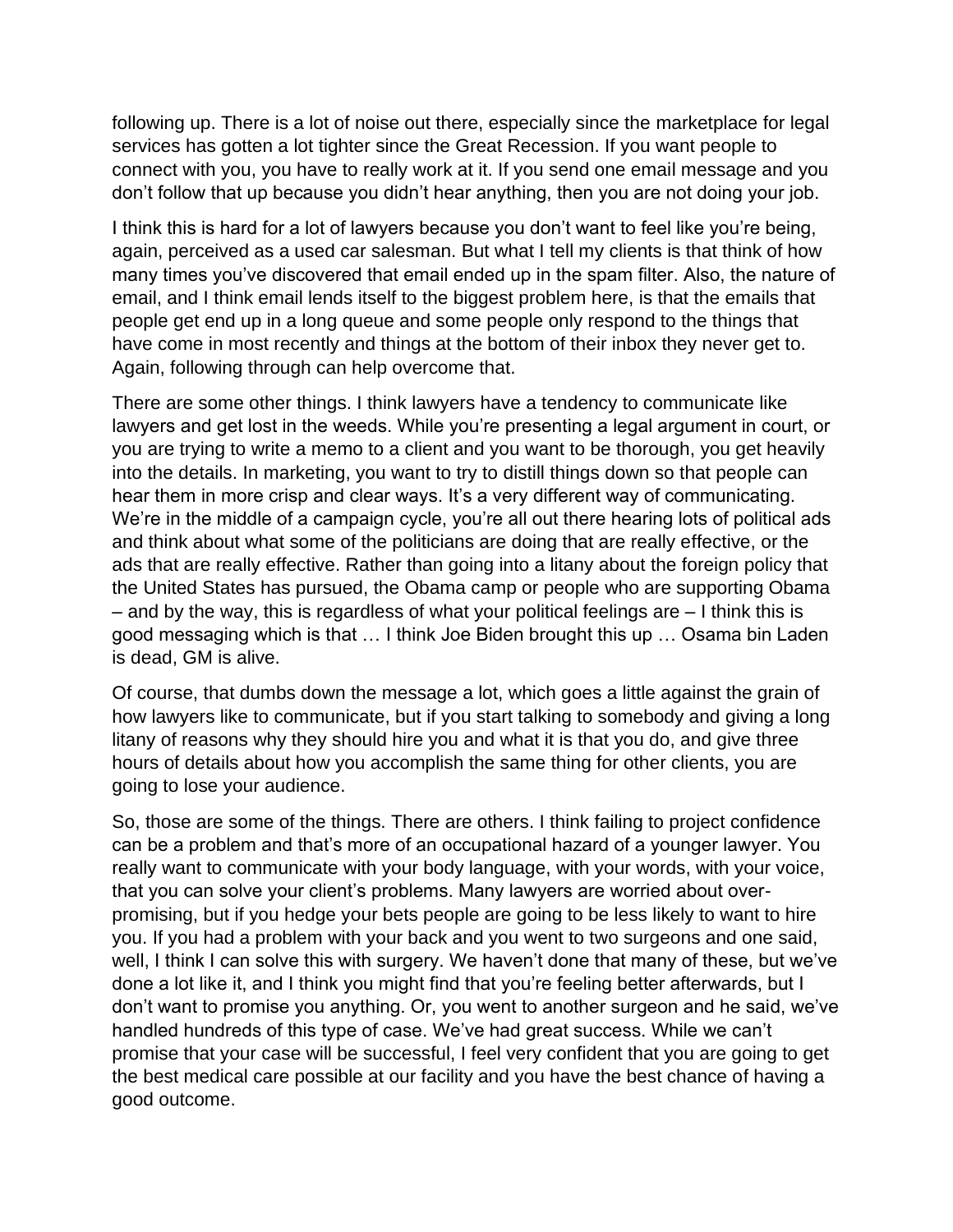following up. There is a lot of noise out there, especially since the marketplace for legal services has gotten a lot tighter since the Great Recession. If you want people to connect with you, you have to really work at it. If you send one email message and you don't follow that up because you didn't hear anything, then you are not doing your job.

I think this is hard for a lot of lawyers because you don't want to feel like you're being, again, perceived as a used car salesman. But what I tell my clients is that think of how many times you've discovered that email ended up in the spam filter. Also, the nature of email, and I think email lends itself to the biggest problem here, is that the emails that people get end up in a long queue and some people only respond to the things that have come in most recently and things at the bottom of their inbox they never get to. Again, following through can help overcome that.

There are some other things. I think lawyers have a tendency to communicate like lawyers and get lost in the weeds. While you're presenting a legal argument in court, or you are trying to write a memo to a client and you want to be thorough, you get heavily into the details. In marketing, you want to try to distill things down so that people can hear them in more crisp and clear ways. It's a very different way of communicating. We're in the middle of a campaign cycle, you're all out there hearing lots of political ads and think about what some of the politicians are doing that are really effective, or the ads that are really effective. Rather than going into a litany about the foreign policy that the United States has pursued, the Obama camp or people who are supporting Obama – and by the way, this is regardless of what your political feelings are – I think this is good messaging which is that … I think Joe Biden brought this up … Osama bin Laden is dead, GM is alive.

Of course, that dumbs down the message a lot, which goes a little against the grain of how lawyers like to communicate, but if you start talking to somebody and giving a long litany of reasons why they should hire you and what it is that you do, and give three hours of details about how you accomplish the same thing for other clients, you are going to lose your audience.

So, those are some of the things. There are others. I think failing to project confidence can be a problem and that's more of an occupational hazard of a younger lawyer. You really want to communicate with your body language, with your words, with your voice, that you can solve your client's problems. Many lawyers are worried about overpromising, but if you hedge your bets people are going to be less likely to want to hire you. If you had a problem with your back and you went to two surgeons and one said, well, I think I can solve this with surgery. We haven't done that many of these, but we've done a lot like it, and I think you might find that you're feeling better afterwards, but I don't want to promise you anything. Or, you went to another surgeon and he said, we've handled hundreds of this type of case. We've had great success. While we can't promise that your case will be successful, I feel very confident that you are going to get the best medical care possible at our facility and you have the best chance of having a good outcome.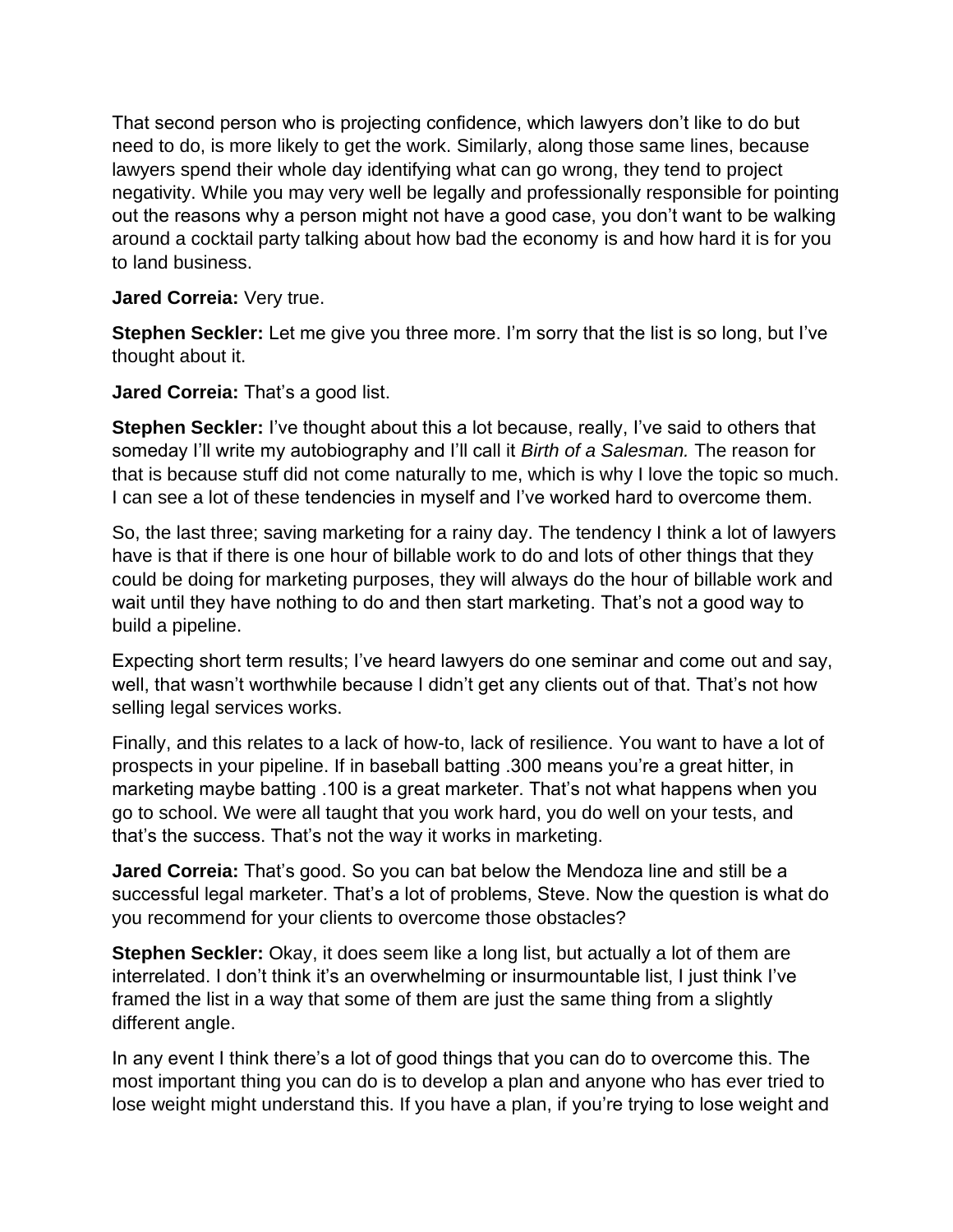That second person who is projecting confidence, which lawyers don't like to do but need to do, is more likely to get the work. Similarly, along those same lines, because lawyers spend their whole day identifying what can go wrong, they tend to project negativity. While you may very well be legally and professionally responsible for pointing out the reasons why a person might not have a good case, you don't want to be walking around a cocktail party talking about how bad the economy is and how hard it is for you to land business.

**Jared Correia:** Very true.

**Stephen Seckler:** Let me give you three more. I'm sorry that the list is so long, but I've thought about it.

**Jared Correia:** That's a good list.

**Stephen Seckler:** I've thought about this a lot because, really, I've said to others that someday I'll write my autobiography and I'll call it *Birth of a Salesman.* The reason for that is because stuff did not come naturally to me, which is why I love the topic so much. I can see a lot of these tendencies in myself and I've worked hard to overcome them.

So, the last three; saving marketing for a rainy day. The tendency I think a lot of lawyers have is that if there is one hour of billable work to do and lots of other things that they could be doing for marketing purposes, they will always do the hour of billable work and wait until they have nothing to do and then start marketing. That's not a good way to build a pipeline.

Expecting short term results; I've heard lawyers do one seminar and come out and say, well, that wasn't worthwhile because I didn't get any clients out of that. That's not how selling legal services works.

Finally, and this relates to a lack of how-to, lack of resilience. You want to have a lot of prospects in your pipeline. If in baseball batting .300 means you're a great hitter, in marketing maybe batting .100 is a great marketer. That's not what happens when you go to school. We were all taught that you work hard, you do well on your tests, and that's the success. That's not the way it works in marketing.

**Jared Correia:** That's good. So you can bat below the Mendoza line and still be a successful legal marketer. That's a lot of problems, Steve. Now the question is what do you recommend for your clients to overcome those obstacles?

**Stephen Seckler:** Okay, it does seem like a long list, but actually a lot of them are interrelated. I don't think it's an overwhelming or insurmountable list, I just think I've framed the list in a way that some of them are just the same thing from a slightly different angle.

In any event I think there's a lot of good things that you can do to overcome this. The most important thing you can do is to develop a plan and anyone who has ever tried to lose weight might understand this. If you have a plan, if you're trying to lose weight and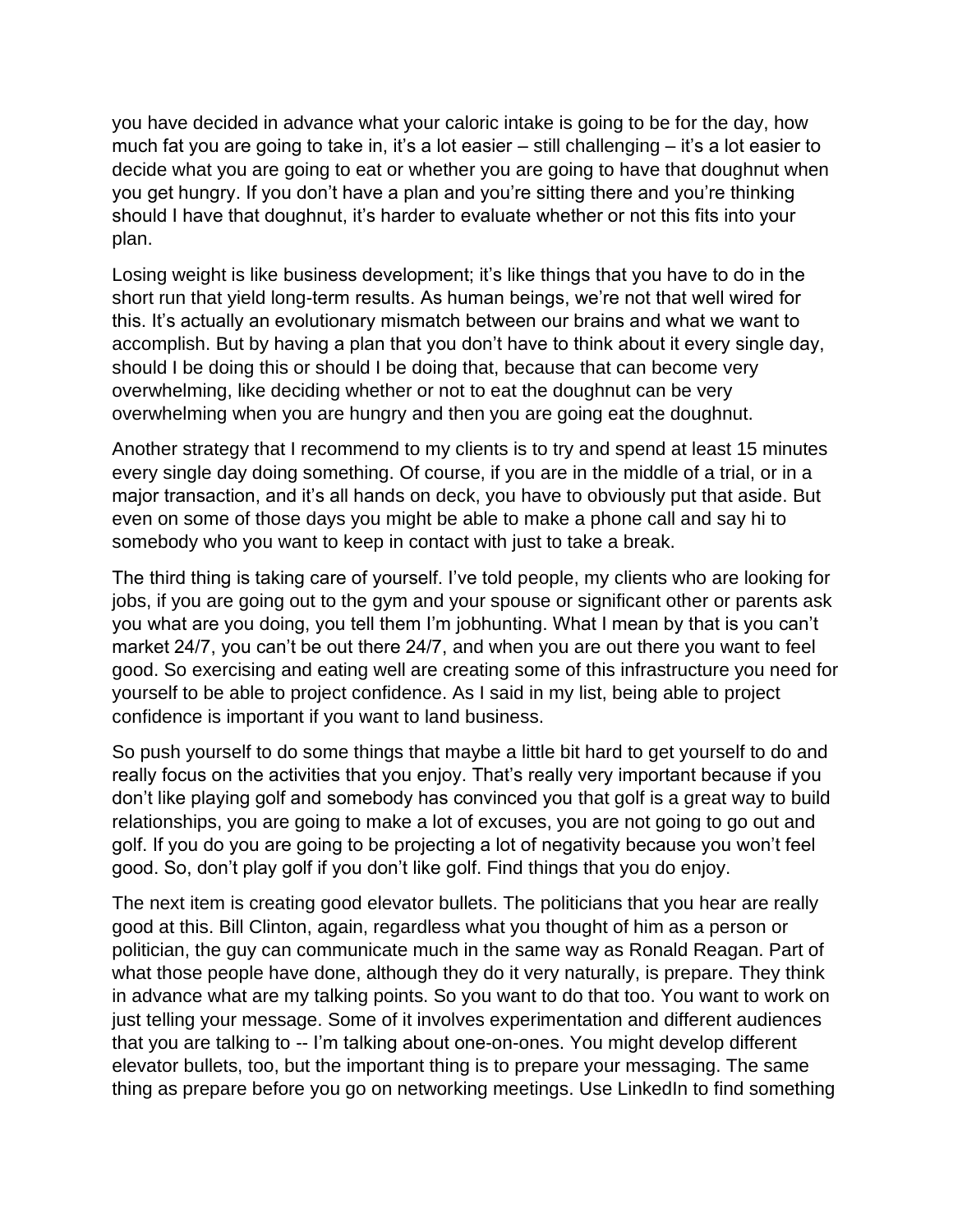you have decided in advance what your caloric intake is going to be for the day, how much fat you are going to take in, it's a lot easier – still challenging – it's a lot easier to decide what you are going to eat or whether you are going to have that doughnut when you get hungry. If you don't have a plan and you're sitting there and you're thinking should I have that doughnut, it's harder to evaluate whether or not this fits into your plan.

Losing weight is like business development; it's like things that you have to do in the short run that yield long-term results. As human beings, we're not that well wired for this. It's actually an evolutionary mismatch between our brains and what we want to accomplish. But by having a plan that you don't have to think about it every single day, should I be doing this or should I be doing that, because that can become very overwhelming, like deciding whether or not to eat the doughnut can be very overwhelming when you are hungry and then you are going eat the doughnut.

Another strategy that I recommend to my clients is to try and spend at least 15 minutes every single day doing something. Of course, if you are in the middle of a trial, or in a major transaction, and it's all hands on deck, you have to obviously put that aside. But even on some of those days you might be able to make a phone call and say hi to somebody who you want to keep in contact with just to take a break.

The third thing is taking care of yourself. I've told people, my clients who are looking for jobs, if you are going out to the gym and your spouse or significant other or parents ask you what are you doing, you tell them I'm jobhunting. What I mean by that is you can't market 24/7, you can't be out there 24/7, and when you are out there you want to feel good. So exercising and eating well are creating some of this infrastructure you need for yourself to be able to project confidence. As I said in my list, being able to project confidence is important if you want to land business.

So push yourself to do some things that maybe a little bit hard to get yourself to do and really focus on the activities that you enjoy. That's really very important because if you don't like playing golf and somebody has convinced you that golf is a great way to build relationships, you are going to make a lot of excuses, you are not going to go out and golf. If you do you are going to be projecting a lot of negativity because you won't feel good. So, don't play golf if you don't like golf. Find things that you do enjoy.

The next item is creating good elevator bullets. The politicians that you hear are really good at this. Bill Clinton, again, regardless what you thought of him as a person or politician, the guy can communicate much in the same way as Ronald Reagan. Part of what those people have done, although they do it very naturally, is prepare. They think in advance what are my talking points. So you want to do that too. You want to work on just telling your message. Some of it involves experimentation and different audiences that you are talking to -- I'm talking about one-on-ones. You might develop different elevator bullets, too, but the important thing is to prepare your messaging. The same thing as prepare before you go on networking meetings. Use LinkedIn to find something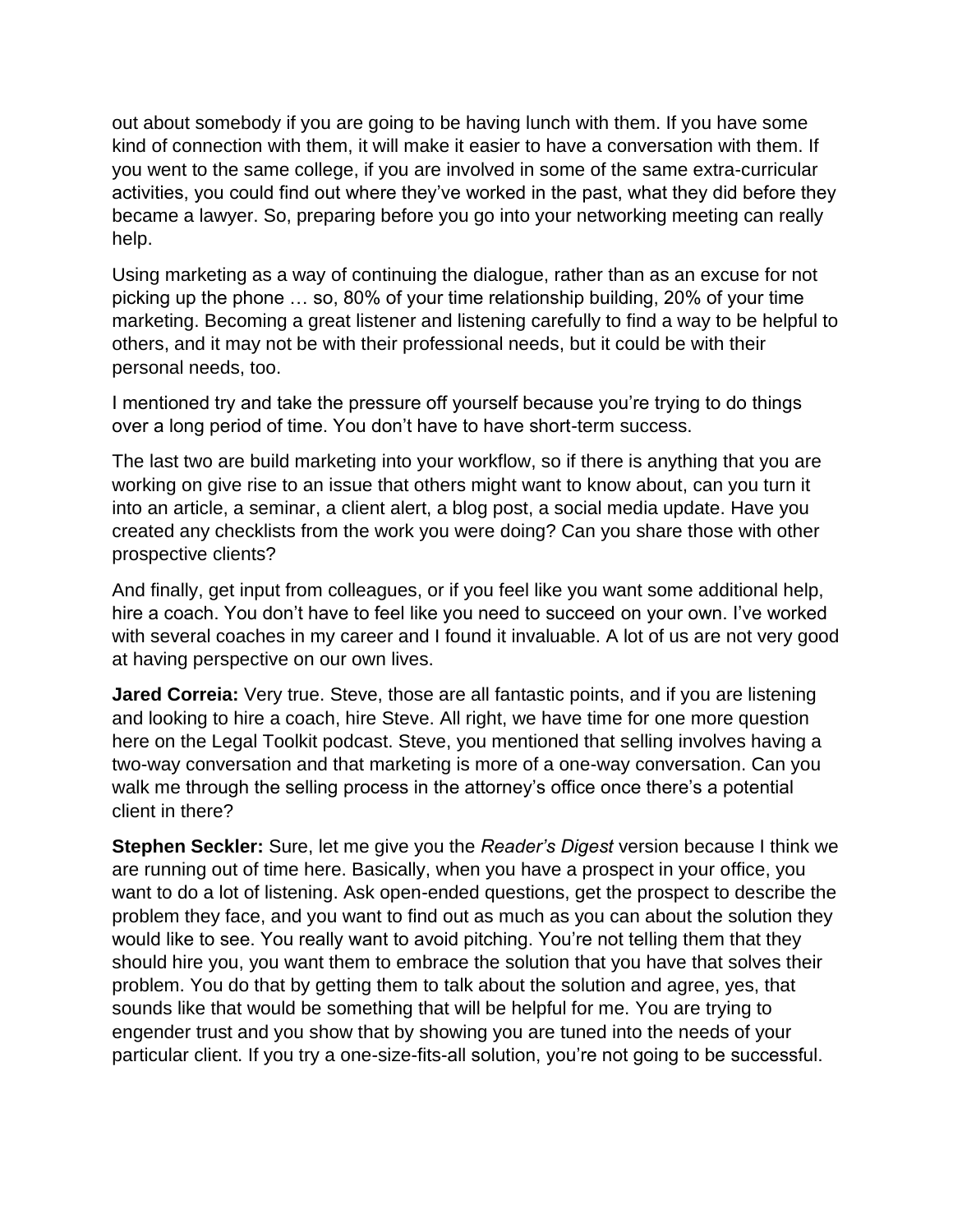out about somebody if you are going to be having lunch with them. If you have some kind of connection with them, it will make it easier to have a conversation with them. If you went to the same college, if you are involved in some of the same extra-curricular activities, you could find out where they've worked in the past, what they did before they became a lawyer. So, preparing before you go into your networking meeting can really help.

Using marketing as a way of continuing the dialogue, rather than as an excuse for not picking up the phone … so, 80% of your time relationship building, 20% of your time marketing. Becoming a great listener and listening carefully to find a way to be helpful to others, and it may not be with their professional needs, but it could be with their personal needs, too.

I mentioned try and take the pressure off yourself because you're trying to do things over a long period of time. You don't have to have short-term success.

The last two are build marketing into your workflow, so if there is anything that you are working on give rise to an issue that others might want to know about, can you turn it into an article, a seminar, a client alert, a blog post, a social media update. Have you created any checklists from the work you were doing? Can you share those with other prospective clients?

And finally, get input from colleagues, or if you feel like you want some additional help, hire a coach. You don't have to feel like you need to succeed on your own. I've worked with several coaches in my career and I found it invaluable. A lot of us are not very good at having perspective on our own lives.

**Jared Correia:** Very true. Steve, those are all fantastic points, and if you are listening and looking to hire a coach, hire Steve. All right, we have time for one more question here on the Legal Toolkit podcast. Steve, you mentioned that selling involves having a two-way conversation and that marketing is more of a one-way conversation. Can you walk me through the selling process in the attorney's office once there's a potential client in there?

**Stephen Seckler:** Sure, let me give you the *Reader's Digest* version because I think we are running out of time here. Basically, when you have a prospect in your office, you want to do a lot of listening. Ask open-ended questions, get the prospect to describe the problem they face, and you want to find out as much as you can about the solution they would like to see. You really want to avoid pitching. You're not telling them that they should hire you, you want them to embrace the solution that you have that solves their problem. You do that by getting them to talk about the solution and agree, yes, that sounds like that would be something that will be helpful for me. You are trying to engender trust and you show that by showing you are tuned into the needs of your particular client. If you try a one-size-fits-all solution, you're not going to be successful.